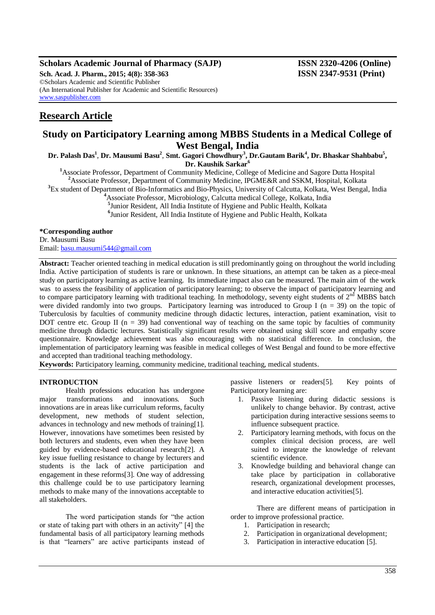## **Scholars Academic Journal of Pharmacy (SAJP) ISSN 2320-4206 (Online) Sch. Acad. J. Pharm., 2015; 4(8): 358-363 ISSN 2347-9531 (Print)** ©Scholars Academic and Scientific Publisher (An International Publisher for Academic and Scientific Resources) [www.saspublisher.com](http://www.saspublisher.com/)

# **Research Article**

# **Study on Participatory Learning among MBBS Students in a Medical College of West Bengal, India**

**Dr. Palash Das<sup>1</sup>** , **Dr. Mausumi Basu<sup>2</sup>** , **Smt. Gagori Chowdhury<sup>3</sup> , Dr.Gautam Barik<sup>4</sup> , Dr. Bhaskar Shahbabu<sup>5</sup> , Dr. Kaushik Sarkar<sup>6</sup>**

**<sup>1</sup>**Associate Professor, Department of Community Medicine, College of Medicine and Sagore Dutta Hospital **<sup>2</sup>**Associate Professor, Department of Community Medicine, IPGME&R and SSKM, Hospital, Kolkata

<sup>3</sup>Ex student of Department of Bio-Informatics and Bio-Physics, University of Calcutta, Kolkata, West Bengal, India

**<sup>4</sup>**Associate Professor, Microbiology, Calcutta medical College, Kolkata, India

**5** Junior Resident, All India Institute of Hygiene and Public Health, Kolkata

**6** Junior Resident, All India Institute of Hygiene and Public Health, Kolkata

## **\*Corresponding author**

Dr. Mausumi Basu

Email: [basu.mausumi544@gmail.com](mailto:basu.mausumi544@gmail.com)

**Abstract:** Teacher oriented teaching in medical education is still predominantly going on throughout the world including India. Active participation of students is rare or unknown. In these situations, an attempt can be taken as a piece-meal study on participatory learning as active learning. Its immediate impact also can be measured. The main aim of the work was to assess the feasibility of application of participatory learning; to observe the impact of participatory learning and to compare participatory learning with traditional teaching. In methodology, seventy eight students of  $2<sup>nd</sup> MBBS$  batch were divided randomly into two groups. Participatory learning was introduced to Group I ( $n = 39$ ) on the topic of Tuberculosis by faculties of community medicine through didactic lectures, interaction, patient examination, visit to DOT centre etc. Group II ( $n = 39$ ) had conventional way of teaching on the same topic by faculties of community medicine through didactic lectures. Statistically significant results were obtained using skill score and empathy score questionnaire. Knowledge achievement was also encouraging with no statistical difference. In conclusion, the implementation of participatory learning was feasible in medical colleges of West Bengal and found to be more effective and accepted than traditional teaching methodology.

**Keywords:** Participatory learning, community medicine, traditional teaching, medical students.

#### **INTRODUCTION**

Health professions education has undergone major transformations and innovations. Such innovations are in areas like curriculum reforms, faculty development, new methods of student selection, advances in technology and new methods of training[1]. However, innovations have sometimes been resisted by both lecturers and students, even when they have been guided by evidence-based educational research[2]. A key issue fuelling resistance to change by lecturers and students is the lack of active participation and engagement in these reforms[3]. One way of addressing this challenge could be to use participatory learning methods to make many of the innovations acceptable to all stakeholders.

The word participation stands for "the action" or state of taking part with others in an activity"  $[4]$  the fundamental basis of all participatory learning methods is that "learners" are active participants instead of passive listeners or readers[5]. Key points of Participatory learning are:

- 1. Passive listening during didactic sessions is unlikely to change behavior. By contrast, active participation during interactive sessions seems to influence subsequent practice.
- 2. Participatory learning methods, with focus on the complex clinical decision process, are well suited to integrate the knowledge of relevant scientific evidence.
- 3. Knowledge building and behavioral change can take place by participation in collaborative research, organizational development processes, and interactive education activities[5].

There are different means of participation in order to improve professional practice.

- 1. Participation in research;
- 2. Participation in organizational development;
- 3. Participation in interactive education [5].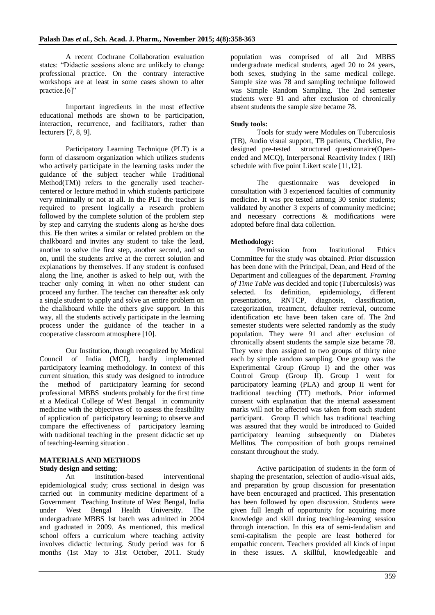A recent Cochrane Collaboration evaluation states: "Didactic sessions alone are unlikely to change professional practice. On the contrary interactive workshops are at least in some cases shown to alter practice.<sup>[6]</sup>"

Important ingredients in the most effective educational methods are shown to be participation, interaction, recurrence, and facilitators, rather than lecturers [7, 8, 9].

Participatory Learning Technique (PLT) is a form of classroom organization which utilizes students who actively participate in the learning tasks under the guidance of the subject teacher while Traditional Method(TM)) refers to the generally used teachercentered or lecture method in which students participate very minimally or not at all. In the PLT the teacher is required to present logically a research problem followed by the complete solution of the problem step by step and carrying the students along as he/she does this. He then writes a similar or related problem on the chalkboard and invites any student to take the lead, another to solve the first step, another second, and so on, until the students arrive at the correct solution and explanations by themselves. If any student is confused along the line, another is asked to help out, with the teacher only coming in when no other student can proceed any further. The teacher can thereafter ask only a single student to apply and solve an entire problem on the chalkboard while the others give support. In this way, all the students actively participate in the learning process under the guidance of the teacher in a cooperative classroom atmosphere [10].

Our Institution, though recognized by Medical Council of India (MCI), hardly implemented participatory learning methodology. In context of this current situation, this study was designed to introduce the method of participatory learning for second professional MBBS students probably for the first time at a Medical College of West Bengal in community medicine with the objectives of to assess the feasibility of application of participatory learning; to observe and compare the effectiveness of participatory learning with traditional teaching in the present didactic set up of teaching-learning situation .

#### **MATERIALS AND METHODS Study design and setting**:

An institution-based interventional epidemiological study; cross sectional in design was carried out in community medicine department of a Government Teaching Institute of West Bengal, India under West Bengal Health University. The undergraduate MBBS 1st batch was admitted in 2004 and graduated in 2009. As mentioned, this medical school offers a curriculum where teaching activity involves didactic lecturing. Study period was for 6 months (1st May to 31st October, 2011. Study

population was comprised of all 2nd MBBS undergraduate medical students, aged 20 to 24 years, both sexes, studying in the same medical college. Sample size was 78 and sampling technique followed was Simple Random Sampling. The 2nd semester students were 91 and after exclusion of chronically absent students the sample size became 78.

# **Study tools:**

Tools for study were Modules on Tuberculosis (TB), Audio visual support, TB patients, Checklist, Pre designed pre-tested structured questionnaire(Openended and MCQ), Interpersonal Reactivity Index ( IRI) schedule with five point Likert scale [11,12].

The questionnaire was developed in consultation with 3 experienced faculties of community medicine. It was pre tested among 30 senior students; validated by another 3 experts of community medicine; and necessary corrections & modifications were adopted before final data collection.

# **Methodology:**

Permission from Institutional Ethics Committee for the study was obtained. Prior discussion has been done with the Principal, Dean, and Head of the Department and colleagues of the department. *Framing of Time Table was* decided and topic (Tuberculosis) was selected. Its definition, epidemiology, different presentations, RNTCP, diagnosis, classification, presentations, RNTCP, diagnosis, classification, categorization, treatment, defaulter retrieval, outcome identification etc have been taken care of. The 2nd semester students were selected randomly as the study population. They were 91 and after exclusion of chronically absent students the sample size became 78. They were then assigned to two groups of thirty nine each by simple random sampling. One group was the Experimental Group (Group I) and the other was Control Group (Group II). Group I went for participatory learning (PLA) and group II went for traditional teaching (TT) methods. Prior informed consent with explanation that the internal assessment marks will not be affected was taken from each student participant. Group II which has traditional teaching was assured that they would be introduced to Guided participatory learning subsequently on Diabetes Mellitus. The composition of both groups remained constant throughout the study.

Active participation of students in the form of shaping the presentation, selection of audio-visual aids, and preparation by group discussion for presentation have been encouraged and practiced. This presentation has been followed by open discussion. Students were given full length of opportunity for acquiring more knowledge and skill during teaching-learning session through interaction. In this era of semi-feudalism and semi-capitalism the people are least bothered for empathic concern. Teachers provided all kinds of input in these issues. A skillful, knowledgeable and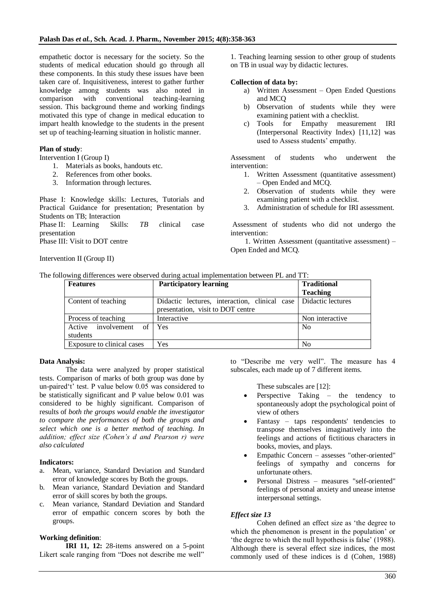empathetic doctor is necessary for the society. So the students of medical education should go through all these components. In this study these issues have been taken care of. Inquisitiveness, interest to gather further knowledge among students was also noted in comparison with conventional teaching-learning session. This background theme and working findings motivated this type of change in medical education to impart health knowledge to the students in the present set up of teaching-learning situation in holistic manner.

# **Plan of study**:

Intervention I (Group I)

- 1. Materials as books, handouts etc.
- 2. References from other books.
- 3. Information through lectures.

Phase I: Knowledge skills: Lectures, Tutorials and Practical Guidance for presentation; Presentation by Students on TB; Interaction

Phase II: Learning Skills: *TB c*linical case presentation

Phase III: Visit to DOT centre

Intervention II (Group II)

1. Teaching learning session to other group of students on TB in usual way by didactic lectures.

## **Collection of data by:**

- a) Written Assessment Open Ended Questions and MCQ
- b) Observation of students while they were examining patient with a checklist.
- c) Tools for Empathy measurement IRI (Interpersonal Reactivity Index) [11,12] was used to Assess students' empathy.

Assessment of students who underwent the intervention:

- 1. Written Assessment (quantitative assessment) – Open Ended and MCQ.
- 2. Observation of students while they were examining patient with a checklist.
- 3. Administration of schedule for IRI assessment.

Assessment of students who did not undergo the intervention:

 1. Written Assessment (quantitative assessment) – Open Ended and MCQ.

|  | The following differences were observed during actual implementation between PL and TT: |  |  |  |
|--|-----------------------------------------------------------------------------------------|--|--|--|
|  |                                                                                         |  |  |  |

| <b>Features</b>                      | <b>Participatory learning</b>                                                                          | <b>Traditional</b><br><b>Teaching</b> |
|--------------------------------------|--------------------------------------------------------------------------------------------------------|---------------------------------------|
| Content of teaching                  | Didactic lectures, interaction, clinical case   Didactic lectures<br>presentation, visit to DOT centre |                                       |
| Process of teaching                  | Interactive                                                                                            | Non interactive                       |
| Active involvement<br>of<br>students | Yes                                                                                                    | N <sub>0</sub>                        |
| Exposure to clinical cases           | Yes                                                                                                    | N <sub>0</sub>                        |

#### **Data Analysis:**

The data were analyzed by proper statistical tests. Comparison of marks of both group was done by un-paired 't' test. P value below 0.05 was considered to be statistically significant and P value below 0.01 was considered to be highly significant. Comparison of results of *both the groups would enable the investigator to compare the performances of both the groups and select which one is a better method of teaching. In addition; effect size (Cohen's d and Pearson r) were also calculated*

#### **Indicators:**

- a. Mean, variance, Standard Deviation and Standard error of knowledge scores by Both the groups.
- b. Mean variance, Standard Deviation and Standard error of skill scores by both the groups.
- Mean variance, Standard Deviation and Standard error of empathic concern scores by both the groups.

# **Working definition**:

**IRI 11, 12:** 28-items answered on a 5-point Likert scale ranging from "Does not describe me well"

to "Describe me very well". The measure has 4 subscales, each made up of 7 different items.

These subscales are [12]:

- Perspective Taking the tendency to spontaneously adopt the psychological point of view of others
- Fantasy taps respondents' tendencies to transpose themselves imaginatively into the feelings and actions of fictitious characters in books, movies, and plays.
- Empathic Concern assesses "other-oriented" feelings of sympathy and concerns for unfortunate others.
- Personal Distress measures "self-oriented" feelings of personal anxiety and unease intense interpersonal settings.

# *Effect size 13*

Cohen defined an effect size as 'the degree to which the phenomenon is present in the population' or 'the degree to which the null hypothesis is false' (1988). Although there is several effect size indices, the most commonly used of these indices is d (Cohen, 1988)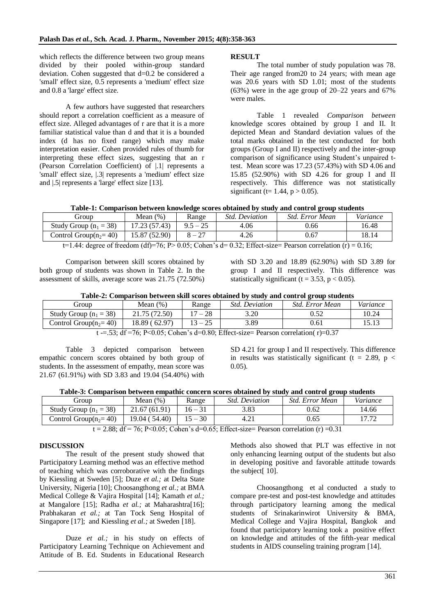which reflects the difference between two group means divided by their pooled within-group standard deviation. Cohen suggested that d=0.2 be considered a 'small' effect size, 0.5 represents a 'medium' effect size and 0.8 a 'large' effect size.

A few authors have suggested that researchers should report a correlation coefficient as a measure of effect size. Alleged advantages of r are that it is a more familiar statistical value than d and that it is a bounded index (d has no fixed range) which may make interpretation easier. Cohen provided rules of thumb for interpreting these effect sizes, suggesting that an r (Pearson Correlation Coefficient) of |.1| represents a 'small' effect size, |.3| represents a 'medium' effect size and |.5| represents a 'large' effect size [13].

#### **RESULT**

The total number of study population was 78. Their age ranged from20 to 24 years; with mean age was 20.6 years with SD 1.01; most of the students  $(63%)$  were in the age group of  $20-22$  years and  $67%$ were males.

Table 1 revealed *Comparison between*  knowledge scores obtained by group I and II. It depicted Mean and Standard deviation values of the total marks obtained in the test conducted for both groups (Group I and II) respectively and the inter-group comparison of significance using Student's unpaired ttest. Mean score was 17.23 (57.43%) with SD 4.06 and 15.85 (52.90%) with SD 4.26 for group I and II respectively. This difference was not statistically significant (t= 1.44,  $p > 0.05$ ).

|  |  | Table-1: Comparison between knowledge scores obtained by study and control group students |
|--|--|-------------------------------------------------------------------------------------------|
|  |  |                                                                                           |

| diroup                   | Mean $(\%)$   | Range                                     | <i>Std. Deviation</i>              | Std. Error Mean | Variance |
|--------------------------|---------------|-------------------------------------------|------------------------------------|-----------------|----------|
| Study Group $(n_1 = 38)$ | 17.23 (57.43) | $9.5 - 25$                                | 4.06                               | 0.66            | 16.48    |
| Control Group $(n_2=40)$ | 15.87 (52.90) | $\sqrt{2}$<br>$\mathbf{v} - \mathbf{z}_I$ | 4.26                               | 0.67            | 18.14    |
| $\sim$ $\sim$<br>.       |               |                                           | $\sim$ $\sim$ $\sim$ $\sim$ $\sim$ | $-$<br>- -      | .        |

t=1.44: degree of freedom (df)=76; P> 0.05; Cohen's d= 0.32; Effect-size= Pearson correlation (r) = 0.16;

Comparison between skill scores obtained by both group of students was shown in Table 2. In the assessment of skills, average score was 21.75 (72.50%)

with SD 3.20 and 18.89 (62.90%) with SD 3.89 for group I and II respectively. This difference was statistically significant (t = 3.53,  $p < 0.05$ ).

| Table-2: Comparison between skill scores obtained by study and control group students |  |  |  |
|---------------------------------------------------------------------------------------|--|--|--|
|---------------------------------------------------------------------------------------|--|--|--|

| Group                                                                                                        | Mean (%)      | Range | <i><b>Std. Deviation</b></i> | Std. Error Mean | Variance |  |  |
|--------------------------------------------------------------------------------------------------------------|---------------|-------|------------------------------|-----------------|----------|--|--|
| Study Group $(n_1 = 38)$                                                                                     | 21.75 (72.50) | $-28$ | 3.20                         |                 | 10.24    |  |  |
| Control Group $(n_2=40)$                                                                                     | 18.89 (62.97) |       | 3.89                         | 0.61            |          |  |  |
| $F2. 10 - 76.$ Bz0.05, $C_11, \ldots$ ) = 1-0.00. Eff. $A_1$ , $B_2$ , $B_3$ , $B_4$ , $B_5$ , $C_6$ , $A_7$ |               |       |                              |                 |          |  |  |

t  $=-53$ ; df =76; P<0.05; Cohen's d=0.80; Effect-size= Pearson correlation( $r$ )=0.37

Table 3 depicted comparison between empathic concern scores obtained by both group of students. In the assessment of empathy, mean score was 21.67 (61.91%) with SD 3.83 and 19.04 (54.40%) with SD 4.21 for group I and II respectively. This difference in results was statistically significant (t = 2.89, p < 0.05).

|  |  |  | Table-3: Comparison between empathic concern scores obtained by study and control group students |  |
|--|--|--|--------------------------------------------------------------------------------------------------|--|
|  |  |  |                                                                                                  |  |

| droup                    | Mean $(\%)$   | Range   | <i>Std. Deviation</i> | Std. Error Mean | Variance |
|--------------------------|---------------|---------|-----------------------|-----------------|----------|
| Study Group $(n_1 = 38)$ | 21.67 (61.91) | 16 – 31 | 3.83                  | 0.62            | 14.66    |
| Control Group $(n_2=40)$ | 19.04 (54.40) | $-30$   |                       | 0.65            |          |

 $t = 2.88$ ; df = 76; P<0.05; Cohen's d=0.65; Effect-size= Pearson correlation (r) =0.31

## **DISCUSSION**

The result of the present study showed that Participatory Learning method was an effective method of teaching which was corroborative with the findings by Kiessling at Sweden [5]; Duze *et al.;* at Delta State University, Nigeria [10]; Choosangthong *et al.;* at BMA Medical College & Vajira Hospital [14]; Kamath *et al.;* at Mangalore [15]; Radha *et al.;* at Maharashtra[16]; Prabhakaran *et al.;* at Tan Tock Seng Hospital of Singapore [17]; and Kiessling *et al.*; at Sweden [18].

Duze *et al.*; in his study on effects of Participatory Learning Technique on Achievement and Attitude of B. Ed. Students in Educational Research

Methods also showed that PLT was effective in not only enhancing learning output of the students but also in developing positive and favorable attitude towards the subject<sup>[10]</sup>.

Choosangthong et al conducted a study to compare pre-test and post-test knowledge and attitudes through participatory learning among the medical students of Srinakarinwirot University & BMA, Medical College and Vajira Hospital, Bangkok and found that participatory learning took a positive effect on knowledge and attitudes of the fifth-year medical students in AIDS counseling training program [14].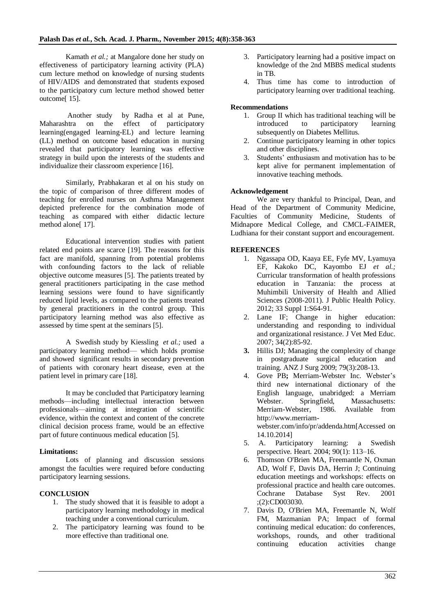Kamath *et al.;* at Mangalore done her study on effectiveness of participatory learning activity (PLA) cum lecture method on knowledge of nursing students of HIV/AIDS and demonstrated that students exposed to the participatory cum lecture method showed better outcome[ 15].

Another study by Radha et al at Pune, Maharashtra on the effect of participatory learning(engaged learning-EL) and lecture learning (LL) method on outcome based education in nursing revealed that participatory learning was effective strategy in build upon the interests of the students and individualize their classroom experience [16].

Similarly, Prabhakaran et al on his study on the topic of comparison of three different modes of teaching for enrolled nurses on Asthma Management depicted preference for the combination mode of teaching as compared with either didactic lecture method alone[17].

Educational intervention studies with patient related end points are scarce [19]. The reasons for this fact are manifold, spanning from potential problems with confounding factors to the lack of reliable objective outcome measures [5]. The patients treated by general practitioners participating in the case method learning sessions were found to have significantly reduced lipid levels, as compared to the patients treated by general practitioners in the control group. This participatory learning method was also effective as assessed by time spent at the seminars [5].

A Swedish study by Kiessling *et al.;* used a participatory learning method— which holds promise and showed significant results in secondary prevention of patients with coronary heart disease, even at the patient level in primary care [18].

It may be concluded that Participatory learning methods—including intellectual interaction between professionals—aiming at integration of scientific evidence, within the context and content of the concrete clinical decision process frame, would be an effective part of future continuous medical education [5].

# **Limitations:**

Lots of planning and discussion sessions amongst the faculties were required before conducting participatory learning sessions.

# **CONCLUSION**

- 1. The study showed that it is feasible to adopt a participatory learning methodology in medical teaching under a conventional curriculum.
- 2. The participatory learning was found to be more effective than traditional one.
- 3. Participatory learning had a positive impact on knowledge of the 2nd MBBS medical students in TB.
- 4. Thus time has come to introduction of participatory learning over traditional teaching.

# **Recommendations**

- 1. Group II which has traditional teaching will be introduced to participatory learning subsequently on Diabetes Mellitus.
- 2. Continue participatory learning in other topics and other disciplines.
- 3. Students' enthusiasm and motivation has to be kept alive for permanent implementation of innovative teaching methods.

# **Acknowledgement**

We are very thankful to Principal, Dean, and Head of the Department of Community Medicine, Faculties of Community Medicine, Students of Midnapore Medical College, and CMCL-FAIMER, Ludhiana for their constant support and encouragement.

# **REFERENCES**

- 1. [Ngassapa OD,](http://www.ncbi.nlm.nih.gov/pubmed?term=Ngassapa%20OD%5BAuthor%5D&cauthor=true&cauthor_uid=23254850) [Kaaya EE,](http://www.ncbi.nlm.nih.gov/pubmed?term=Kaaya%20EE%5BAuthor%5D&cauthor=true&cauthor_uid=23254850) [Fyfe MV,](http://www.ncbi.nlm.nih.gov/pubmed?term=Fyfe%20MV%5BAuthor%5D&cauthor=true&cauthor_uid=23254850) [Lyamuya](http://www.ncbi.nlm.nih.gov/pubmed?term=Lyamuya%20EF%5BAuthor%5D&cauthor=true&cauthor_uid=23254850)  [EF,](http://www.ncbi.nlm.nih.gov/pubmed?term=Lyamuya%20EF%5BAuthor%5D&cauthor=true&cauthor_uid=23254850) [Kakoko DC,](http://www.ncbi.nlm.nih.gov/pubmed?term=Kakoko%20DC%5BAuthor%5D&cauthor=true&cauthor_uid=23254850) [Kayombo EJ](http://www.ncbi.nlm.nih.gov/pubmed?term=Kayombo%20EJ%5BAuthor%5D&cauthor=true&cauthor_uid=23254850) *et al.;* Curricular transformation of health professions education in Tanzania: the process at Muhimbili University of Health and Allied Sciences (2008-2011). [J Public Health Policy.](http://www.ncbi.nlm.nih.gov/pubmed/23254850) 2012; 33 Suppl 1:S64-91.
- 2. [Lane IF;](http://www.ncbi.nlm.nih.gov/pubmed?term=Lane%20IF%5BAuthor%5D&cauthor=true&cauthor_uid=17446632) Change in higher education: understanding and responding to individual and organizational resistance. [J Vet Med Educ.](http://www.ncbi.nlm.nih.gov/pubmed/17446632) 2007; 34(2):85-92.
- **3.** Hillis DJ; Managing the complexity of change in postgraduate surgical education and training. ANZ J Surg 2009; 79(3):208-13.
- 4. Gove PB**;** Merriam-Webster Inc. Webster's third new international dictionary of the English language, unabridged: a Merriam Webster. Springfield, Massachusetts: Merriam-Webster, 1986. Available from [http://www.merriam](http://www.merriam-webster.com/info/pr/addenda.htm%5bAccessed)[webster.com/info/pr/addenda.htm\[Accessed](http://www.merriam-webster.com/info/pr/addenda.htm%5bAccessed) on 14.10.2014]
- 5. A. Participatory learning: a Swedish perspective. Heart. 2004; 90(1): 113–16.
- 6. [Thomson O'Brien MA,](http://www.ncbi.nlm.nih.gov/pubmed?term=Thomson%20O%27Brien%20MA%5BAuthor%5D&cauthor=true&cauthor_uid=11406063) [Freemantle N,](http://www.ncbi.nlm.nih.gov/pubmed?term=Freemantle%20N%5BAuthor%5D&cauthor=true&cauthor_uid=11406063) [Oxman](http://www.ncbi.nlm.nih.gov/pubmed?term=Oxman%20AD%5BAuthor%5D&cauthor=true&cauthor_uid=11406063)  [AD,](http://www.ncbi.nlm.nih.gov/pubmed?term=Oxman%20AD%5BAuthor%5D&cauthor=true&cauthor_uid=11406063) [Wolf F,](http://www.ncbi.nlm.nih.gov/pubmed?term=Wolf%20F%5BAuthor%5D&cauthor=true&cauthor_uid=11406063) [Davis DA,](http://www.ncbi.nlm.nih.gov/pubmed?term=Davis%20DA%5BAuthor%5D&cauthor=true&cauthor_uid=11406063) [Herrin J;](http://www.ncbi.nlm.nih.gov/pubmed?term=Herrin%20J%5BAuthor%5D&cauthor=true&cauthor_uid=11406063) Continuing education meetings and workshops: effects on professional practice and health care outcomes. [Cochrane Database Syst Rev.](http://www.ncbi.nlm.nih.gov/pubmed/11406063) 2001 ;(2):CD003030.
- 7. [Davis D,](http://www.ncbi.nlm.nih.gov/pubmed?term=Davis%20D%5BAuthor%5D&cauthor=true&cauthor_uid=10478694) [O'Brien MA,](http://www.ncbi.nlm.nih.gov/pubmed?term=O%27Brien%20MA%5BAuthor%5D&cauthor=true&cauthor_uid=10478694) [Freemantle N,](http://www.ncbi.nlm.nih.gov/pubmed?term=Freemantle%20N%5BAuthor%5D&cauthor=true&cauthor_uid=10478694) [Wolf](http://www.ncbi.nlm.nih.gov/pubmed?term=Wolf%20FM%5BAuthor%5D&cauthor=true&cauthor_uid=10478694)  [FM,](http://www.ncbi.nlm.nih.gov/pubmed?term=Wolf%20FM%5BAuthor%5D&cauthor=true&cauthor_uid=10478694) [Mazmanian PA](http://www.ncbi.nlm.nih.gov/pubmed?term=Mazmanian%20P%5BAuthor%5D&cauthor=true&cauthor_uid=10478694); Impact of formal continuing medical education: do conferences, workshops, rounds, and other traditional continuing education activities change